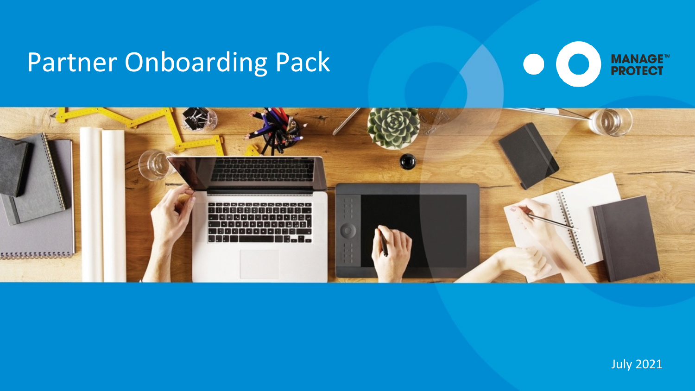## Partner Onboarding Pack





### July 2021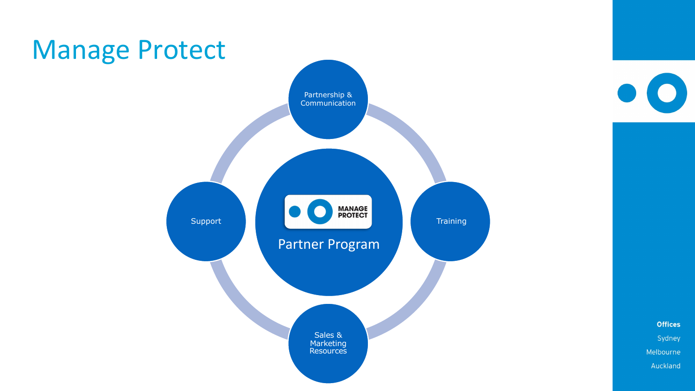

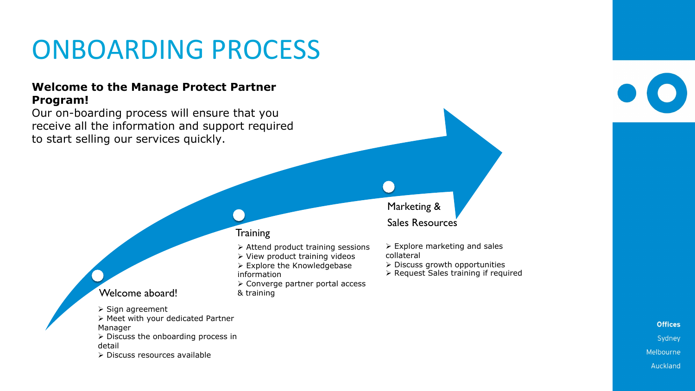### **Welcome to the Manage Protect Partner Program!**

Our on-boarding process will ensure that you receive all the information and support required to start selling our services quickly.

#### **Training**

## ONBOARDING PROCESS

#### Welcome aboard!

- $\triangleright$  Sign agreement
- $\triangleright$  Meet with your dedicated Partner
- Manager
- $\triangleright$  Discuss the onboarding process in detail
- $\triangleright$  Discuss resources available



**Offices** Sydney Melbourne Auckland

- $\triangleright$  Attend product training sessions
- $\triangleright$  View product training videos
- $\triangleright$  Explore the Knowledgebase information
- $\triangleright$  Converge partner portal access
- & training
- $\triangleright$  Explore marketing and sales collateral
- $\triangleright$  Discuss growth opportunities
- Ø Request Sales training if required

Marketing & Sales Resources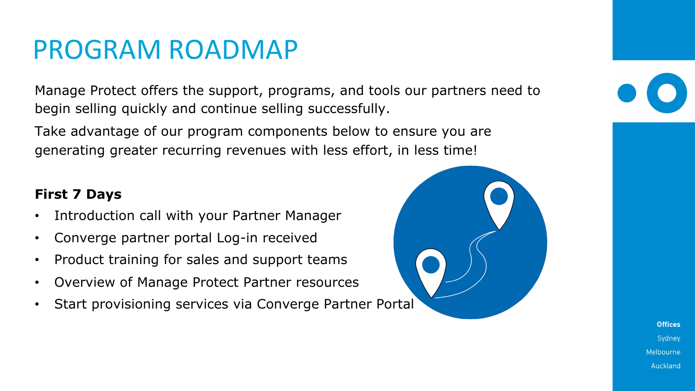## PROGRAM ROADMAP

Manage Protect offers the support, programs, and tools our partners need to begin selling quickly and continue selling successfully.

Take advantage of our program components below to ensure you are generating greater recurring revenues with less effort, in less time!

## **First 7 Days**

- Introduction call with your Partner Manager
- Converge partner portal Log-in received
- Product training for sales and support teams
- Overview of Manage Protect Partner resources
- Start provisioning services via Converge Partner Portal



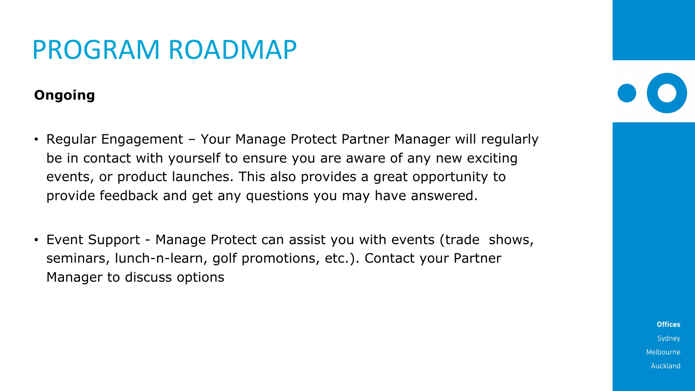## PROGRAM ROADMAP

## **Ongoing**

- Regular Engagement Your Manage Protect Partner Manager will regularly be in contact with yourself to ensure you are aware of any new exciting events, or product launches. This also provides a great opportunity to provide feedback and get any questions you may have answered.
- Event Support Manage Protect can assist you with events (trade shows, seminars, lunch-n-learn, golf promotions, etc.). Contact your Partner Manager to discuss options

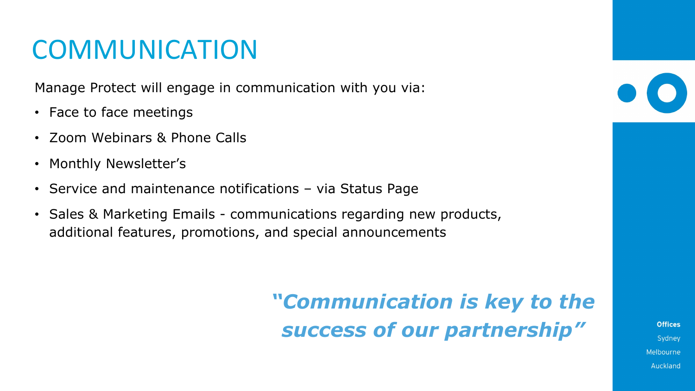## **COMMUNICATION**

Manage Protect will engage in communication with you via:

- Face to face meetings
- Zoom Webinars & Phone Calls
- Monthly Newsletter's
- Service and maintenance notifications via Status Page
- Sales & Marketing Emails communications regarding new products, additional features, promotions, and special announcements

## *"Communication is key to the success of our partnership"*

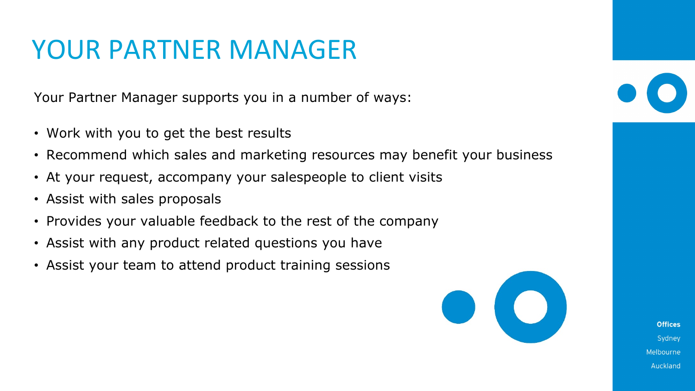## YOUR PARTNER MANAGER

Your Partner Manager supports you in a number of ways:

- Work with you to get the best results
- Recommend which sales and marketing resources may benefit your business
- At your request, accompany your salespeople to client visits
- Assist with sales proposals
- Provides your valuable feedback to the rest of the company
- Assist with any product related questions you have
- Assist your team to attend product training sessions



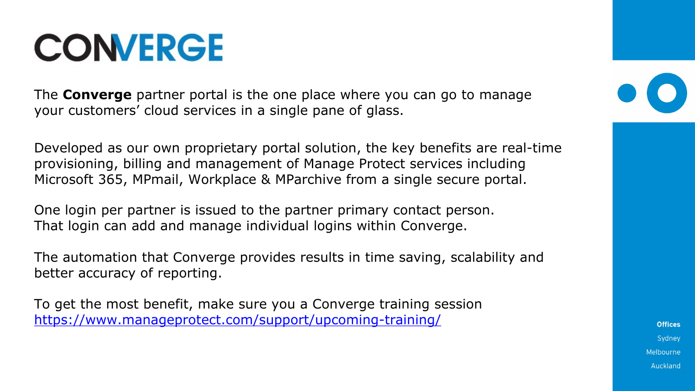# **CONVERGE**

The **Converge** partner portal is the one place your customers' cloud services in a single par

Developed as our own proprietary portal solution, the key benefits and provisioning, billing and management of Mand Microsoft 365, MPmail, Workplace & MParchiv

One login per partner is issued to the partner That login can add and manage individual log

The automation that Converge provides results [better accuracy of reporting.](https://www.manageprotect.com/support/upcoming-training/)

To get the most benefit, make sure you a Con https://www.manageprotect.com/support/up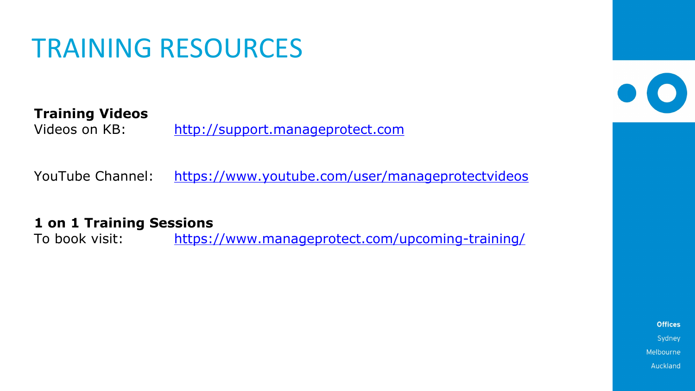## TRAINING RESOURCES

## **Training Videos**

Videos on KB: [http://support.manageprotect.com](https://www.youtube.com/user/manageprotectvideos)

YouTube Channel: https://www.youtube.com

**1 on 1 Training Sessions** To book visit: https://www.manageprotect.com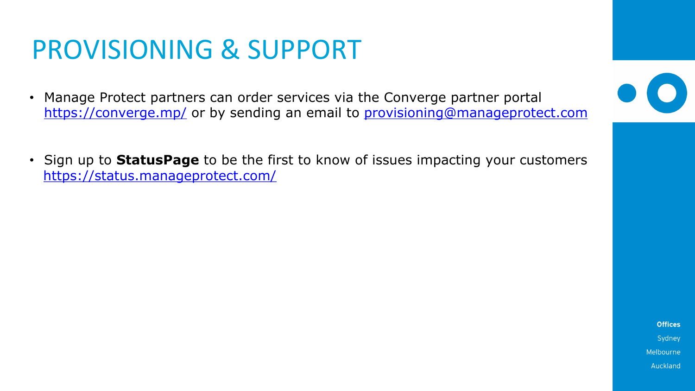## PROVISIONING & SUPPO

- Manage Protect partners can order services https://converge.mp/ or by sending an email
- Sign up to **StatusPage** to be the first to kn https://status.manageprotect.com/